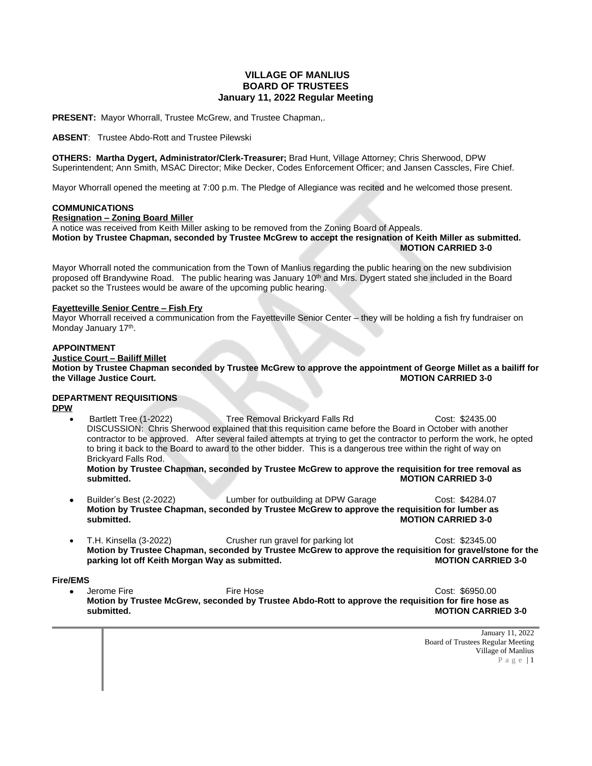# **VILLAGE OF MANLIUS BOARD OF TRUSTEES January 11, 2022 Regular Meeting**

**PRESENT:** Mayor Whorrall, Trustee McGrew, and Trustee Chapman,.

**ABSENT**: Trustee Abdo-Rott and Trustee Pilewski

**OTHERS: Martha Dygert, Administrator/Clerk-Treasurer;** Brad Hunt, Village Attorney; Chris Sherwood, DPW Superintendent; Ann Smith, MSAC Director; Mike Decker, Codes Enforcement Officer; and Jansen Casscles, Fire Chief.

Mayor Whorrall opened the meeting at 7:00 p.m. The Pledge of Allegiance was recited and he welcomed those present.

## **COMMUNICATIONS**

# **Resignation – Zoning Board Miller**

A notice was received from Keith Miller asking to be removed from the Zoning Board of Appeals. **Motion by Trustee Chapman, seconded by Trustee McGrew to accept the resignation of Keith Miller as submitted. MOTION CARRIED 3-0**

Mayor Whorrall noted the communication from the Town of Manlius regarding the public hearing on the new subdivision proposed off Brandywine Road. The public hearing was January 10<sup>th</sup> and Mrs. Dygert stated she included in the Board packet so the Trustees would be aware of the upcoming public hearing.

## **Fayetteville Senior Centre – Fish Fry**

Mayor Whorrall received a communication from the Fayetteville Senior Center – they will be holding a fish fry fundraiser on Monday January 17<sup>th</sup>.

## **APPOINTMENT**

**Justice Court – Bailiff Millet Motion by Trustee Chapman seconded by Trustee McGrew to approve the appointment of George Millet as a bailiff for the Village Justice Court.** 

# **DEPARTMENT REQUISITIONS**

## **DPW**

 Bartlett Tree (1-2022) Tree Removal Brickyard Falls Rd Cost: \$2435.00 DISCUSSION: Chris Sherwood explained that this requisition came before the Board in October with another contractor to be approved. After several failed attempts at trying to get the contractor to perform the work, he opted to bring it back to the Board to award to the other bidder. This is a dangerous tree within the right of way on Brickyard Falls Rod.

**Motion by Trustee Chapman, seconded by Trustee McGrew to approve the requisition for tree removal as MOTION CARRIED 3-0** 

- Builder's Best (2-2022) Lumber for outbuilding at DPW Garage Cost: \$4284.07 **Motion by Trustee Chapman, seconded by Trustee McGrew to approve the requisition for lumber as MOTION CARRIED 3-0**
- T.H. Kinsella (3-2022) Crusher run gravel for parking lot Cost: \$2345.00 **Motion by Trustee Chapman, seconded by Trustee McGrew to approve the requisition for gravel/stone for the** parking lot off Keith Morgan Way as submitted.

## **Fire/EMS**

 Jerome Fire Fire Hose Cost: \$6950.00 **Motion by Trustee McGrew, seconded by Trustee Abdo-Rott to approve the requisition for fire hose as MOTION CARRIED 3-0**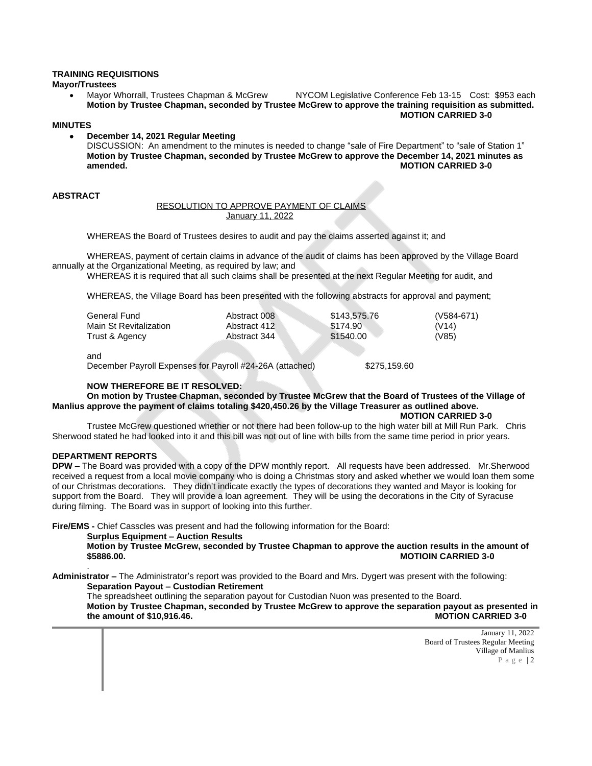# **TRAINING REQUISITIONS**

**Mayor/Trustees**

 Mayor Whorrall, Trustees Chapman & McGrew NYCOM Legislative Conference Feb 13-15 Cost: \$953 each **Motion by Trustee Chapman, seconded by Trustee McGrew to approve the training requisition as submitted. MOTION CARRIED 3-0**

#### **MINUTES**

 **December 14, 2021 Regular Meeting** DISCUSSION: An amendment to the minutes is needed to change "sale of Fire Department" to "sale of Station 1" **Motion by Trustee Chapman, seconded by Trustee McGrew to approve the December 14, 2021 minutes as amended. MOTION CARRIED 3-0**

#### **ABSTRACT**

#### RESOLUTION TO APPROVE PAYMENT OF CLAIMS January 11, 2022

WHEREAS the Board of Trustees desires to audit and pay the claims asserted against it; and

WHEREAS, payment of certain claims in advance of the audit of claims has been approved by the Village Board annually at the Organizational Meeting, as required by law; and

WHEREAS it is required that all such claims shall be presented at the next Regular Meeting for audit, and

WHEREAS, the Village Board has been presented with the following abstracts for approval and payment;

| General Fund           | Abstract 008 | \$143,575,76 | $(V584-671)$ |
|------------------------|--------------|--------------|--------------|
| Main St Revitalization | Abstract 412 | \$174.90     | (V14)        |
| Trust & Agency         | Abstract 344 | \$1540.00    | (V85)        |

and

December Payroll Expenses for Payroll #24-26A (attached) \$275,159.60

## **NOW THEREFORE BE IT RESOLVED:**

**On motion by Trustee Chapman, seconded by Trustee McGrew that the Board of Trustees of the Village of Manlius approve the payment of claims totaling \$420,450.26 by the Village Treasurer as outlined above.**

**MOTION CARRIED 3-0**

Trustee McGrew questioned whether or not there had been follow-up to the high water bill at Mill Run Park. Chris Sherwood stated he had looked into it and this bill was not out of line with bills from the same time period in prior years.

#### **DEPARTMENT REPORTS**

.

**DPW** – The Board was provided with a copy of the DPW monthly report. All requests have been addressed. Mr.Sherwood received a request from a local movie company who is doing a Christmas story and asked whether we would loan them some of our Christmas decorations. They didn't indicate exactly the types of decorations they wanted and Mayor is looking for support from the Board. They will provide a loan agreement. They will be using the decorations in the City of Syracuse during filming. The Board was in support of looking into this further.

**Fire/EMS -** Chief Casscles was present and had the following information for the Board:

#### **Surplus Equipment – Auction Results**

**Motion by Trustee McGrew, seconded by Trustee Chapman to approve the auction results in the amount of \$5886.00. MOTIOIN CARRIED 3-0**

**Administrator –** The Administrator's report was provided to the Board and Mrs. Dygert was present with the following: **Separation Payout – Custodian Retirement**

The spreadsheet outlining the separation payout for Custodian Nuon was presented to the Board. **Motion by Trustee Chapman, seconded by Trustee McGrew to approve the separation payout as presented in the amount of \$10,916.46.**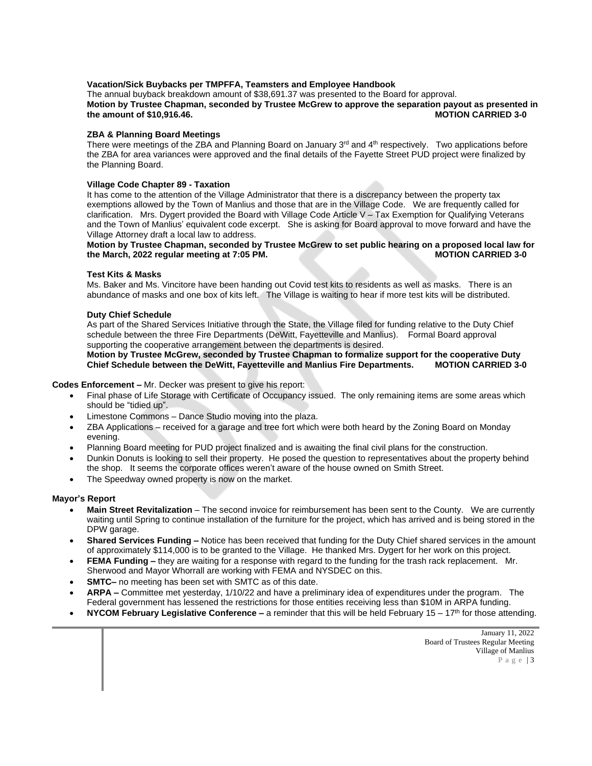## **Vacation/Sick Buybacks per TMPFFA, Teamsters and Employee Handbook**

The annual buyback breakdown amount of \$38,691.37 was presented to the Board for approval. **Motion by Trustee Chapman, seconded by Trustee McGrew to approve the separation payout as presented in the amount of \$10,916.46. MOTION CARRIED 3-0**

## **ZBA & Planning Board Meetings**

There were meetings of the ZBA and Planning Board on January  $3^{rd}$  and  $4^{th}$  respectively. Two applications before the ZBA for area variances were approved and the final details of the Fayette Street PUD project were finalized by the Planning Board.

#### **Village Code Chapter 89 - Taxation**

It has come to the attention of the Village Administrator that there is a discrepancy between the property tax exemptions allowed by the Town of Manlius and those that are in the Village Code. We are frequently called for clarification. Mrs. Dygert provided the Board with Village Code Article V – Tax Exemption for Qualifying Veterans and the Town of Manlius' equivalent code excerpt. She is asking for Board approval to move forward and have the Village Attorney draft a local law to address.

# **Motion by Trustee Chapman, seconded by Trustee McGrew to set public hearing on a proposed local law for**  the March, 2022 regular meeting at 7:05 PM.

#### **Test Kits & Masks**

Ms. Baker and Ms. Vincitore have been handing out Covid test kits to residents as well as masks. There is an abundance of masks and one box of kits left. The Village is waiting to hear if more test kits will be distributed.

#### **Duty Chief Schedule**

As part of the Shared Services Initiative through the State, the Village filed for funding relative to the Duty Chief schedule between the three Fire Departments (DeWitt, Fayetteville and Manlius). Formal Board approval supporting the cooperative arrangement between the departments is desired.

## **Motion by Trustee McGrew, seconded by Trustee Chapman to formalize support for the cooperative Duty Chief Schedule between the DeWitt, Fayetteville and Manlius Fire Departments. MOTION CARRIED 3-0**

**Codes Enforcement –** Mr. Decker was present to give his report:

- Final phase of Life Storage with Certificate of Occupancy issued. The only remaining items are some areas which should be "tidied up".
- Limestone Commons Dance Studio moving into the plaza.
- ZBA Applications received for a garage and tree fort which were both heard by the Zoning Board on Monday evening.
- Planning Board meeting for PUD project finalized and is awaiting the final civil plans for the construction.
- Dunkin Donuts is looking to sell their property. He posed the question to representatives about the property behind the shop. It seems the corporate offices weren't aware of the house owned on Smith Street.
- The Speedway owned property is now on the market.

# **Mayor's Report**

- **Main Street Revitalization** The second invoice for reimbursement has been sent to the County. We are currently waiting until Spring to continue installation of the furniture for the project, which has arrived and is being stored in the DPW garage.
- **Shared Services Funding –** Notice has been received that funding for the Duty Chief shared services in the amount of approximately \$114,000 is to be granted to the Village. He thanked Mrs. Dygert for her work on this project.
- **FEMA Funding** they are waiting for a response with regard to the funding for the trash rack replacement. Mr. Sherwood and Mayor Whorrall are working with FEMA and NYSDEC on this.
- **SMTC–** no meeting has been set with SMTC as of this date.
- **ARPA –** Committee met yesterday, 1/10/22 and have a preliminary idea of expenditures under the program. The Federal government has lessened the restrictions for those entities receiving less than \$10M in ARPA funding.
- **NYCOM February Legislative Conference –** a reminder that this will be held February 15 17<sup>th</sup> for those attending.